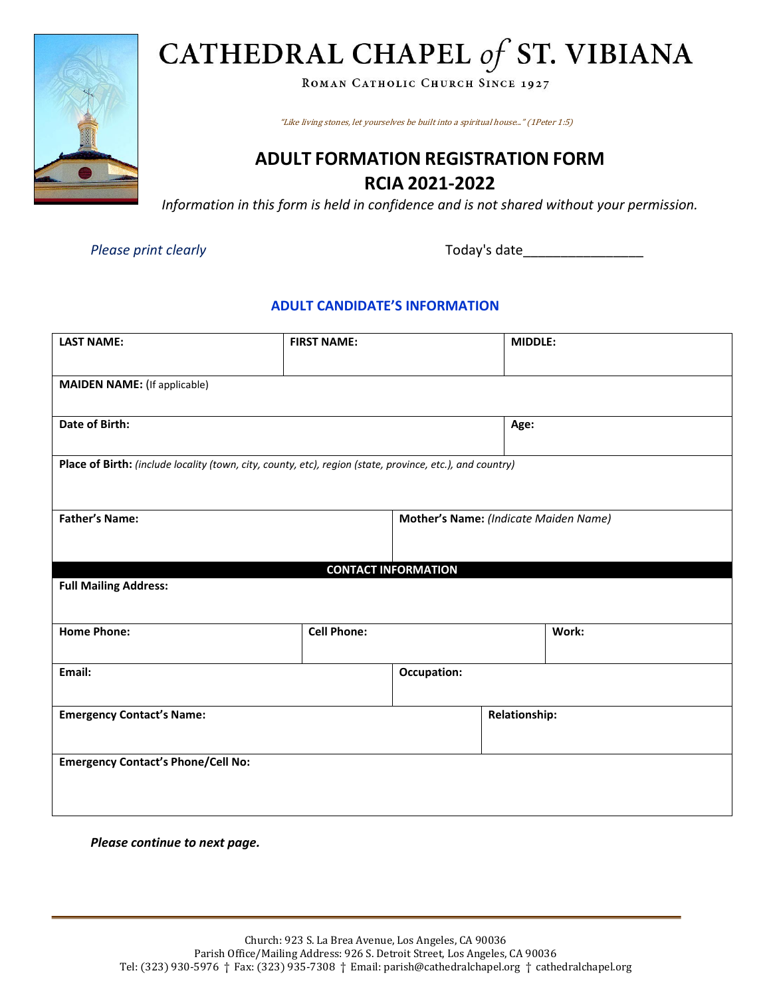

ROMAN CATHOLIC CHURCH SINCE 1927

"Like living stones, let yourselves be built into a spiritual house..." (1Peter 1:5)

#### **ADULT FORMATION REGISTRATION FORM RCIA 2021-2022**

*Information in this form is held in confidence and is not shared without your permission.*

*Please print clearly* Today's date

#### **ADULT CANDIDATE'S INFORMATION**

| <b>LAST NAME:</b>                                                                                         | <b>FIRST NAME:</b> | <b>MIDDLE:</b>                        |                      |       |  |  |  |
|-----------------------------------------------------------------------------------------------------------|--------------------|---------------------------------------|----------------------|-------|--|--|--|
| <b>MAIDEN NAME:</b> (If applicable)                                                                       |                    |                                       |                      |       |  |  |  |
| <b>Date of Birth:</b>                                                                                     |                    |                                       | Age:                 |       |  |  |  |
| Place of Birth: (include locality (town, city, county, etc), region (state, province, etc.), and country) |                    |                                       |                      |       |  |  |  |
| <b>Father's Name:</b>                                                                                     |                    | Mother's Name: (Indicate Maiden Name) |                      |       |  |  |  |
|                                                                                                           |                    | <b>CONTACT INFORMATION</b>            |                      |       |  |  |  |
| <b>Full Mailing Address:</b>                                                                              |                    |                                       |                      |       |  |  |  |
| <b>Home Phone:</b>                                                                                        | <b>Cell Phone:</b> |                                       |                      | Work: |  |  |  |
| Email:                                                                                                    |                    |                                       | Occupation:          |       |  |  |  |
| <b>Emergency Contact's Name:</b>                                                                          |                    |                                       | <b>Relationship:</b> |       |  |  |  |
| <b>Emergency Contact's Phone/Cell No:</b>                                                                 |                    |                                       |                      |       |  |  |  |

*Please continue to next page.*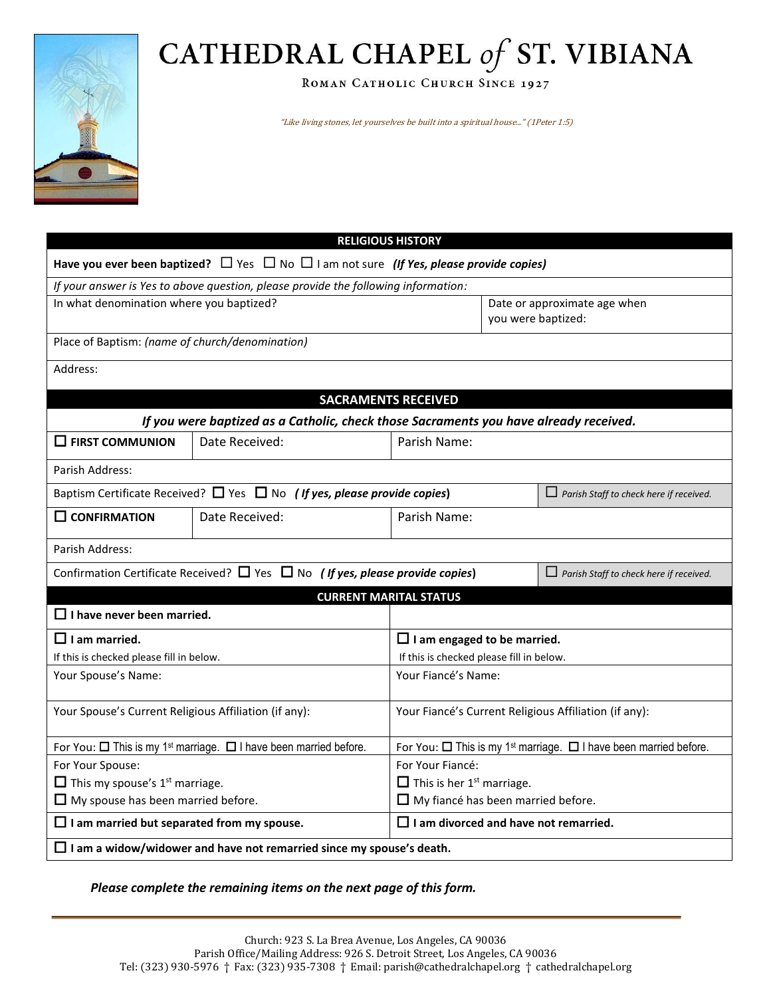ROMAN CATHOLIC CHURCH SINCE 1927

"Like living stones, let yourselves be built into a spiritual house..." (1Peter 1:5)

| <b>RELIGIOUS HISTORY</b>                                                                               |                                                                                         |                                                                                         |                              |                                                |  |  |  |  |  |
|--------------------------------------------------------------------------------------------------------|-----------------------------------------------------------------------------------------|-----------------------------------------------------------------------------------------|------------------------------|------------------------------------------------|--|--|--|--|--|
| Have you ever been baptized? $\Box$ Yes $\Box$ No $\Box$ I am not sure (If Yes, please provide copies) |                                                                                         |                                                                                         |                              |                                                |  |  |  |  |  |
| If your answer is Yes to above question, please provide the following information:                     |                                                                                         |                                                                                         |                              |                                                |  |  |  |  |  |
| In what denomination where you baptized?                                                               |                                                                                         |                                                                                         | Date or approximate age when |                                                |  |  |  |  |  |
|                                                                                                        |                                                                                         |                                                                                         | you were baptized:           |                                                |  |  |  |  |  |
| Place of Baptism: (name of church/denomination)                                                        |                                                                                         |                                                                                         |                              |                                                |  |  |  |  |  |
| Address:                                                                                               |                                                                                         |                                                                                         |                              |                                                |  |  |  |  |  |
| <b>SACRAMENTS RECEIVED</b>                                                                             |                                                                                         |                                                                                         |                              |                                                |  |  |  |  |  |
| If you were baptized as a Catholic, check those Sacraments you have already received.                  |                                                                                         |                                                                                         |                              |                                                |  |  |  |  |  |
| $\Box$ FIRST COMMUNION                                                                                 | Date Received:                                                                          | Parish Name:                                                                            |                              |                                                |  |  |  |  |  |
| Parish Address:                                                                                        |                                                                                         |                                                                                         |                              |                                                |  |  |  |  |  |
|                                                                                                        | Baptism Certificate Received? $\Box$ Yes $\Box$ No (If yes, please provide copies)      |                                                                                         |                              | $\Box$ Parish Staff to check here if received. |  |  |  |  |  |
| $\square$ CONFIRMATION                                                                                 | Date Received:                                                                          | Parish Name:                                                                            |                              |                                                |  |  |  |  |  |
| Parish Address:                                                                                        |                                                                                         |                                                                                         |                              |                                                |  |  |  |  |  |
|                                                                                                        | Confirmation Certificate Received? $\Box$ Yes $\Box$ No (If yes, please provide copies) |                                                                                         |                              | $\Box$ Parish Staff to check here if received. |  |  |  |  |  |
|                                                                                                        |                                                                                         | <b>CURRENT MARITAL STATUS</b>                                                           |                              |                                                |  |  |  |  |  |
| $\Box$ I have never been married.                                                                      |                                                                                         |                                                                                         |                              |                                                |  |  |  |  |  |
| $\Box$ I am married.                                                                                   | $\Box$ I am engaged to be married.                                                      |                                                                                         |                              |                                                |  |  |  |  |  |
| If this is checked please fill in below.                                                               |                                                                                         | If this is checked please fill in below.                                                |                              |                                                |  |  |  |  |  |
| Your Spouse's Name:                                                                                    |                                                                                         | Your Fiancé's Name:                                                                     |                              |                                                |  |  |  |  |  |
| Your Spouse's Current Religious Affiliation (if any):                                                  |                                                                                         | Your Fiancé's Current Religious Affiliation (if any):                                   |                              |                                                |  |  |  |  |  |
| For You: $\Box$ This is my 1 <sup>st</sup> marriage. $\Box$ I have been married before.                |                                                                                         | For You: $\Box$ This is my 1 <sup>st</sup> marriage. $\Box$ I have been married before. |                              |                                                |  |  |  |  |  |
| For Your Spouse:                                                                                       |                                                                                         | For Your Fiancé:                                                                        |                              |                                                |  |  |  |  |  |
| $\Box$ This my spouse's 1 <sup>st</sup> marriage.                                                      |                                                                                         | $\Box$ This is her 1 <sup>st</sup> marriage.                                            |                              |                                                |  |  |  |  |  |
| $\Box$ My spouse has been married before.                                                              |                                                                                         | $\Box$ My fiancé has been married before.                                               |                              |                                                |  |  |  |  |  |
| $\Box$ I am married but separated from my spouse.                                                      |                                                                                         | $\Box$ I am divorced and have not remarried.                                            |                              |                                                |  |  |  |  |  |
| $\Box$ I am a widow/widower and have not remarried since my spouse's death.                            |                                                                                         |                                                                                         |                              |                                                |  |  |  |  |  |
|                                                                                                        |                                                                                         |                                                                                         |                              |                                                |  |  |  |  |  |

*Please complete the remaining items on the next page of this form.*

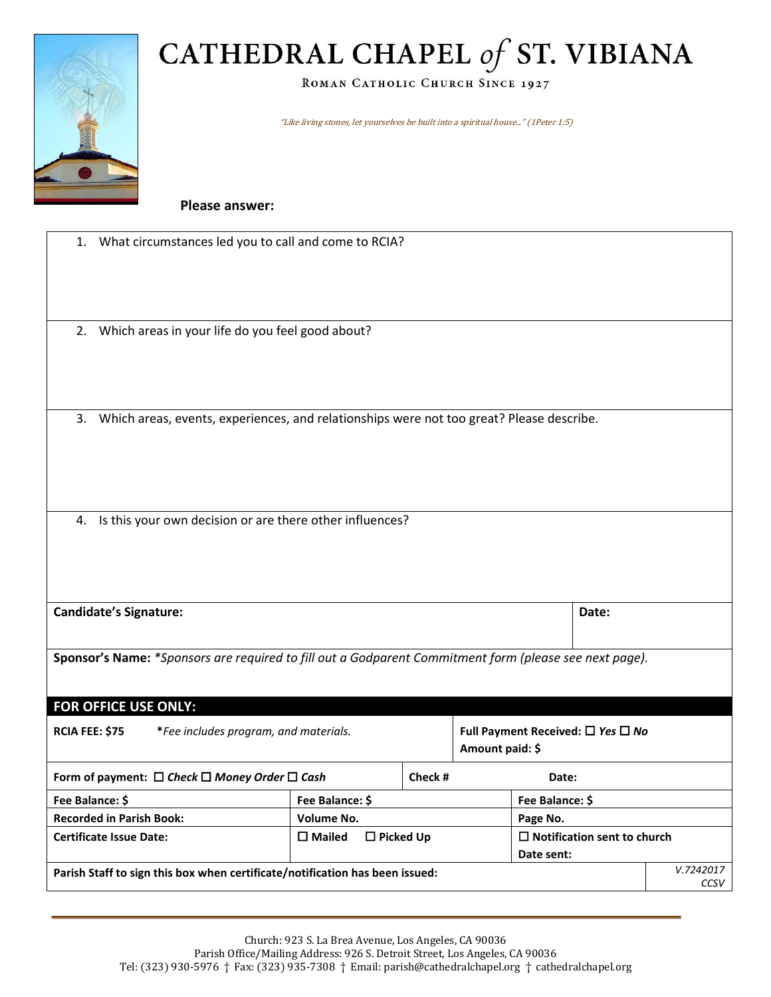ROMAN CATHOLIC CHURCH SINCE 1927

"Like living stones, let yourselves be built into a spiritual house..." (1Peter 1:5)

**Please answer:**

| 1.                                                                                                     | What circumstances led you to call and come to RCIA?                                     |                                      |                 |                                             |                                                     |      |  |
|--------------------------------------------------------------------------------------------------------|------------------------------------------------------------------------------------------|--------------------------------------|-----------------|---------------------------------------------|-----------------------------------------------------|------|--|
|                                                                                                        |                                                                                          |                                      |                 |                                             |                                                     |      |  |
|                                                                                                        | 2. Which areas in your life do you feel good about?                                      |                                      |                 |                                             |                                                     |      |  |
|                                                                                                        |                                                                                          |                                      |                 |                                             |                                                     |      |  |
| 3.                                                                                                     | Which areas, events, experiences, and relationships were not too great? Please describe. |                                      |                 |                                             |                                                     |      |  |
|                                                                                                        |                                                                                          |                                      |                 |                                             |                                                     |      |  |
|                                                                                                        |                                                                                          |                                      |                 |                                             |                                                     |      |  |
| Is this your own decision or are there other influences?<br>4.                                         |                                                                                          |                                      |                 |                                             |                                                     |      |  |
|                                                                                                        |                                                                                          |                                      |                 |                                             |                                                     |      |  |
|                                                                                                        |                                                                                          |                                      |                 |                                             |                                                     |      |  |
| <b>Candidate's Signature:</b><br>Date:                                                                 |                                                                                          |                                      |                 |                                             |                                                     |      |  |
| Sponsor's Name: *Sponsors are required to fill out a Godparent Commitment form (please see next page). |                                                                                          |                                      |                 |                                             |                                                     |      |  |
| <b>FOR OFFICE USE ONLY:</b>                                                                            |                                                                                          |                                      |                 |                                             |                                                     |      |  |
| <b>RCIA FEE: \$75</b><br>*Fee includes program, and materials.                                         |                                                                                          |                                      | Amount paid: \$ | Full Payment Received: $\Box$ Yes $\Box$ No |                                                     |      |  |
| Form of payment: $\Box$ Check $\Box$ Money Order $\Box$ Cash                                           |                                                                                          | Check #                              |                 | Date:                                       |                                                     |      |  |
| Fee Balance: \$<br>Fee Balance: \$                                                                     |                                                                                          |                                      |                 | Fee Balance: \$                             |                                                     |      |  |
|                                                                                                        | <b>Recorded in Parish Book:</b>                                                          | <b>Volume No.</b>                    |                 |                                             | Page No.                                            |      |  |
|                                                                                                        | <b>Certificate Issue Date:</b>                                                           | $\square$ Mailed<br>$\Box$ Picked Up |                 |                                             | $\square$ Notification sent to church<br>Date sent: |      |  |
| Parish Staff to sign this box when certificate/notification has been issued:                           |                                                                                          |                                      |                 |                                             | V.7242017                                           |      |  |
|                                                                                                        |                                                                                          |                                      |                 |                                             |                                                     | CCSV |  |